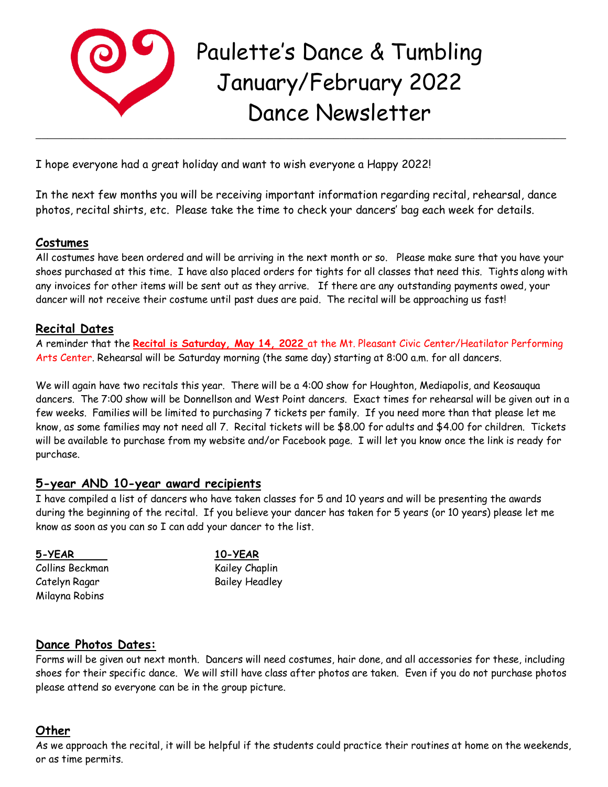

# Paulette's Dance & Tumbling January/February 2022 Dance Newsletter

I hope everyone had a great holiday and want to wish everyone a Happy 2022!

In the next few months you will be receiving important information regarding recital, rehearsal, dance photos, recital shirts, etc. Please take the time to check your dancers' bag each week for details.

\_\_\_\_\_\_\_\_\_\_\_\_\_\_\_\_\_\_\_\_\_\_\_\_\_\_\_\_\_\_\_\_\_\_\_\_\_\_\_\_\_\_\_\_\_\_\_\_\_\_\_\_\_\_\_\_\_\_\_\_\_\_\_\_\_\_\_\_\_\_\_\_\_\_\_\_\_\_\_\_\_\_\_\_\_\_\_\_\_

#### **Costumes**

All costumes have been ordered and will be arriving in the next month or so. Please make sure that you have your shoes purchased at this time. I have also placed orders for tights for all classes that need this. Tights along with any invoices for other items will be sent out as they arrive. If there are any outstanding payments owed, your dancer will not receive their costume until past dues are paid. The recital will be approaching us fast!

#### **Recital Dates**

A reminder that the **Recital is Saturday, May 14, 2022** at the Mt. Pleasant Civic Center/Heatilator Performing Arts Center. Rehearsal will be Saturday morning (the same day) starting at 8:00 a.m. for all dancers.

We will again have two recitals this year. There will be a 4:00 show for Houghton, Mediapolis, and Keosauqua dancers. The 7:00 show will be Donnellson and West Point dancers. Exact times for rehearsal will be given out in a few weeks. Families will be limited to purchasing 7 tickets per family. If you need more than that please let me know, as some families may not need all 7. Recital tickets will be \$8.00 for adults and \$4.00 for children. Tickets will be available to purchase from my website and/or Facebook page. I will let you know once the link is ready for purchase.

#### **5-year AND 10-year award recipients**

I have compiled a list of dancers who have taken classes for 5 and 10 years and will be presenting the awards during the beginning of the recital. If you believe your dancer has taken for 5 years (or 10 years) please let me know as soon as you can so I can add your dancer to the list.

| 5-YEAR          | 10-YEAR               |
|-----------------|-----------------------|
| Collins Beckman | Kailey Chaplin        |
| Catelyn Ragar   | <b>Bailey Headley</b> |
| Milayna Robins  |                       |

#### **Dance Photos Dates:**

Forms will be given out next month. Dancers will need costumes, hair done, and all accessories for these, including shoes for their specific dance. We will still have class after photos are taken. Even if you do not purchase photos please attend so everyone can be in the group picture.

### **Other**

As we approach the recital, it will be helpful if the students could practice their routines at home on the weekends, or as time permits.